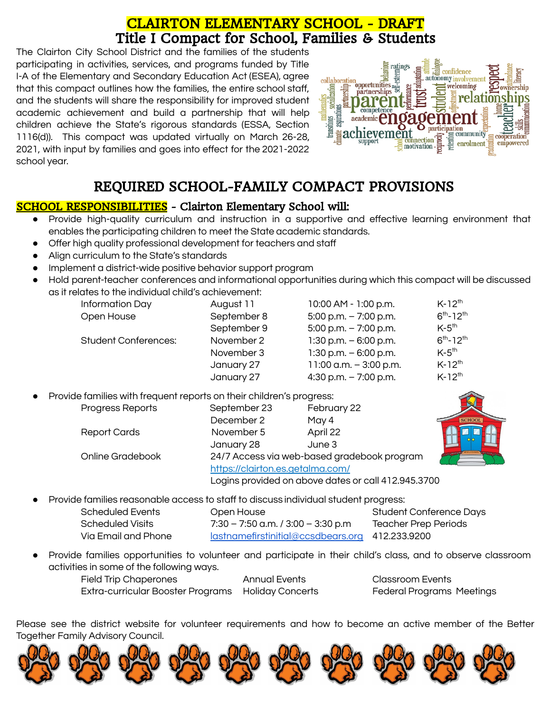## CLAIRTON ELEMENTARY SCHOOL - DRAFT [Ti](http://images.pcmac.org/Uploads/ClairtonCitySD/ClairtonCitySD/Sites/DocumentsCategories/Documents/Family_School_Compact_16-17.pdf)tle I Compact for School, Families & Students

The Clairton City School District and the families of the students participating in activities, services, and programs funded by Title I-A of the Elementary and Secondary Education Act (ESEA), agree that this compact outlines how the families, the entire school staff, and the students will share the responsibility for improved student academic achievement and build a partnership that will help children achieve the State's rigorous standards (ESSA, Section 1116(d)). This compact was updated virtually on March 26-28, 2021, with input by families and goes into effect for the 2021-2022 school year.



# REQUIRED SCHOOL-FAMILY COMPACT PROVISIONS

## SCHOOL RESPONSIBILITIES - Clairton Elementary School will:

- Provide high-quality curriculum and instruction in a supportive and effective learning environment that enables the participating children to meet the State academic standards.
- Offer high quality professional development for teachers and staff
- Align curriculum to the State's standards
- Implement a district-wide positive behavior support program
- Hold parent-teacher conferences and informational opportunities during which this compact will be discussed as it relates to the individual child's achievement:

| Information Day             | August 11   | 10:00 AM - 1:00 p.m.     | $K-12^{th}$         |
|-----------------------------|-------------|--------------------------|---------------------|
| Open House                  | September 8 | $5:00$ p.m. $-7:00$ p.m. | $6^{th} - 12^{th}$  |
|                             | September 9 | $5:00$ p.m. $-7:00$ p.m. | $K-5$ <sup>th</sup> |
| <b>Student Conferences:</b> | November 2  | $1:30$ p.m. $-6:00$ p.m. | $6^{th} - 12^{th}$  |
|                             | November 3  | $1:30$ p.m. $-6:00$ p.m. | $K-5$ <sup>th</sup> |
|                             | January 27  | 11:00 a.m. $-3:00$ p.m.  | $K-12^{th}$         |
|                             | January 27  | 4:30 p.m. $-7:00$ p.m.   | $K-12^{th}$         |

Provide families with frequent reports on their children's progress:

| Progress Reports    | September 23                                        | February 22 |  |
|---------------------|-----------------------------------------------------|-------------|--|
|                     | December 2                                          | May 4       |  |
| <b>Report Cards</b> | November 5                                          | April 22    |  |
|                     | January 28                                          | June 3      |  |
| Online Gradebook    | 24/7 Access via web-based gradebook program         |             |  |
|                     | https://clairton.es.getalma.com/                    |             |  |
|                     | Logins provided on above dates or call 412.945.3700 |             |  |

Provide families reasonable access to staff to discuss individual student progress:

| Scheduled Events    | Open House                                      | Student Conference Days     |
|---------------------|-------------------------------------------------|-----------------------------|
| Scheduled Visits    | 7:30 – 7:50 a.m. / 3:00 – 3:30 p.m              | <b>Teacher Prep Periods</b> |
| Via Email and Phone | lastnamefirstinitial@ccsdbears.org 412.233.9200 |                             |
|                     |                                                 |                             |

● Provide families opportunities to volunteer and participate in their child's class, and to observe classroom activities in some of the following ways.

Field Trip Chaperones Annual Events Classroom Events Extra-curricular Booster Programs Holiday Concerts Federal Programs Meetings

Please see the district website for volunteer requirements and how to become an active member of the Better Together Family Advisory Council.